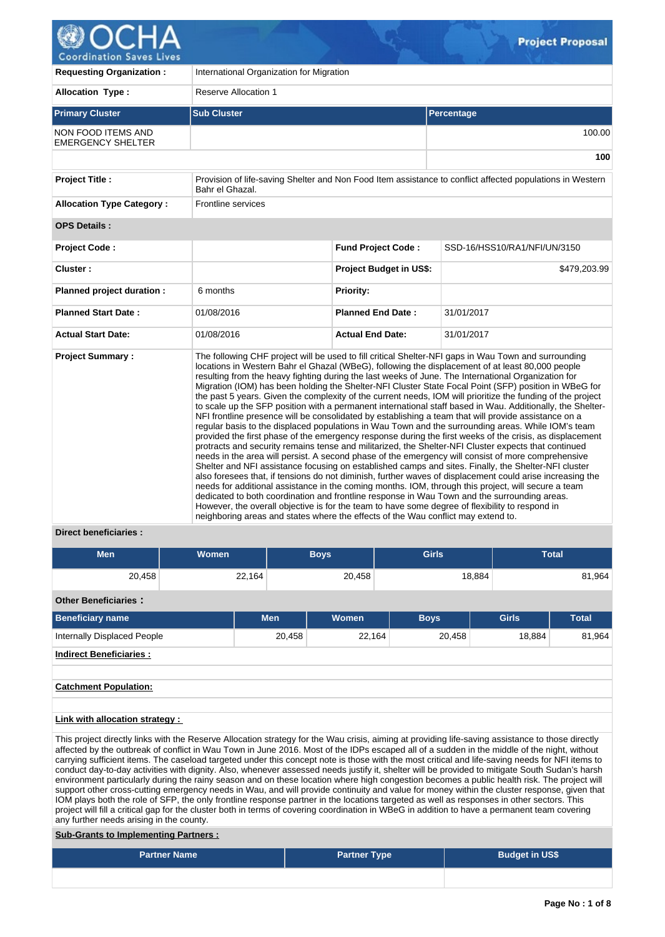

| <u>coolainación paves Elves</u>                |                                                                                                                                                                                                                                                                                      |                                |                                                                                                                                                                                                                                                                                                                                                                                                                                                                                                                                                                                                                                                                                                                                                                                                                                                                                                                                                                                                                                                                                                                                                                                                                                                                                                                                                                                                                                                                                                                           |  |  |  |  |  |  |
|------------------------------------------------|--------------------------------------------------------------------------------------------------------------------------------------------------------------------------------------------------------------------------------------------------------------------------------------|--------------------------------|---------------------------------------------------------------------------------------------------------------------------------------------------------------------------------------------------------------------------------------------------------------------------------------------------------------------------------------------------------------------------------------------------------------------------------------------------------------------------------------------------------------------------------------------------------------------------------------------------------------------------------------------------------------------------------------------------------------------------------------------------------------------------------------------------------------------------------------------------------------------------------------------------------------------------------------------------------------------------------------------------------------------------------------------------------------------------------------------------------------------------------------------------------------------------------------------------------------------------------------------------------------------------------------------------------------------------------------------------------------------------------------------------------------------------------------------------------------------------------------------------------------------------|--|--|--|--|--|--|
| <b>Requesting Organization:</b>                | International Organization for Migration                                                                                                                                                                                                                                             |                                |                                                                                                                                                                                                                                                                                                                                                                                                                                                                                                                                                                                                                                                                                                                                                                                                                                                                                                                                                                                                                                                                                                                                                                                                                                                                                                                                                                                                                                                                                                                           |  |  |  |  |  |  |
| <b>Allocation Type:</b>                        | <b>Reserve Allocation 1</b>                                                                                                                                                                                                                                                          |                                |                                                                                                                                                                                                                                                                                                                                                                                                                                                                                                                                                                                                                                                                                                                                                                                                                                                                                                                                                                                                                                                                                                                                                                                                                                                                                                                                                                                                                                                                                                                           |  |  |  |  |  |  |
| <b>Primary Cluster</b>                         | <b>Sub Cluster</b>                                                                                                                                                                                                                                                                   |                                | Percentage                                                                                                                                                                                                                                                                                                                                                                                                                                                                                                                                                                                                                                                                                                                                                                                                                                                                                                                                                                                                                                                                                                                                                                                                                                                                                                                                                                                                                                                                                                                |  |  |  |  |  |  |
| NON FOOD ITEMS AND<br><b>EMERGENCY SHELTER</b> |                                                                                                                                                                                                                                                                                      |                                | 100.00                                                                                                                                                                                                                                                                                                                                                                                                                                                                                                                                                                                                                                                                                                                                                                                                                                                                                                                                                                                                                                                                                                                                                                                                                                                                                                                                                                                                                                                                                                                    |  |  |  |  |  |  |
|                                                |                                                                                                                                                                                                                                                                                      |                                | 100                                                                                                                                                                                                                                                                                                                                                                                                                                                                                                                                                                                                                                                                                                                                                                                                                                                                                                                                                                                                                                                                                                                                                                                                                                                                                                                                                                                                                                                                                                                       |  |  |  |  |  |  |
| <b>Project Title:</b>                          | Bahr el Ghazal.                                                                                                                                                                                                                                                                      |                                | Provision of life-saving Shelter and Non Food Item assistance to conflict affected populations in Western                                                                                                                                                                                                                                                                                                                                                                                                                                                                                                                                                                                                                                                                                                                                                                                                                                                                                                                                                                                                                                                                                                                                                                                                                                                                                                                                                                                                                 |  |  |  |  |  |  |
| <b>Allocation Type Category:</b>               | <b>Frontline services</b>                                                                                                                                                                                                                                                            |                                |                                                                                                                                                                                                                                                                                                                                                                                                                                                                                                                                                                                                                                                                                                                                                                                                                                                                                                                                                                                                                                                                                                                                                                                                                                                                                                                                                                                                                                                                                                                           |  |  |  |  |  |  |
| <b>OPS Details:</b>                            |                                                                                                                                                                                                                                                                                      |                                |                                                                                                                                                                                                                                                                                                                                                                                                                                                                                                                                                                                                                                                                                                                                                                                                                                                                                                                                                                                                                                                                                                                                                                                                                                                                                                                                                                                                                                                                                                                           |  |  |  |  |  |  |
| Project Code:                                  |                                                                                                                                                                                                                                                                                      | <b>Fund Project Code:</b>      | SSD-16/HSS10/RA1/NFI/UN/3150                                                                                                                                                                                                                                                                                                                                                                                                                                                                                                                                                                                                                                                                                                                                                                                                                                                                                                                                                                                                                                                                                                                                                                                                                                                                                                                                                                                                                                                                                              |  |  |  |  |  |  |
| Cluster:                                       |                                                                                                                                                                                                                                                                                      | <b>Project Budget in US\$:</b> | \$479,203.99                                                                                                                                                                                                                                                                                                                                                                                                                                                                                                                                                                                                                                                                                                                                                                                                                                                                                                                                                                                                                                                                                                                                                                                                                                                                                                                                                                                                                                                                                                              |  |  |  |  |  |  |
| Planned project duration :                     | 6 months                                                                                                                                                                                                                                                                             | Priority:                      |                                                                                                                                                                                                                                                                                                                                                                                                                                                                                                                                                                                                                                                                                                                                                                                                                                                                                                                                                                                                                                                                                                                                                                                                                                                                                                                                                                                                                                                                                                                           |  |  |  |  |  |  |
| <b>Planned Start Date:</b>                     | 01/08/2016                                                                                                                                                                                                                                                                           | <b>Planned End Date:</b>       | 31/01/2017                                                                                                                                                                                                                                                                                                                                                                                                                                                                                                                                                                                                                                                                                                                                                                                                                                                                                                                                                                                                                                                                                                                                                                                                                                                                                                                                                                                                                                                                                                                |  |  |  |  |  |  |
| <b>Actual Start Date:</b>                      | 01/08/2016                                                                                                                                                                                                                                                                           | <b>Actual End Date:</b>        | 31/01/2017                                                                                                                                                                                                                                                                                                                                                                                                                                                                                                                                                                                                                                                                                                                                                                                                                                                                                                                                                                                                                                                                                                                                                                                                                                                                                                                                                                                                                                                                                                                |  |  |  |  |  |  |
| <b>Project Summary:</b>                        | dedicated to both coordination and frontline response in Wau Town and the surrounding areas.<br>However, the overall objective is for the team to have some degree of flexibility to respond in<br>neighboring areas and states where the effects of the Wau conflict may extend to. |                                | The following CHF project will be used to fill critical Shelter-NFI gaps in Wau Town and surrounding<br>locations in Western Bahr el Ghazal (WBeG), following the displacement of at least 80,000 people<br>resulting from the heavy fighting during the last weeks of June. The International Organization for<br>Migration (IOM) has been holding the Shelter-NFI Cluster State Focal Point (SFP) position in WBeG for<br>the past 5 years. Given the complexity of the current needs, IOM will prioritize the funding of the project<br>to scale up the SFP position with a permanent international staff based in Wau. Additionally, the Shelter-<br>NFI frontline presence will be consolidated by establishing a team that will provide assistance on a<br>regular basis to the displaced populations in Wau Town and the surrounding areas. While IOM's team<br>provided the first phase of the emergency response during the first weeks of the crisis, as displacement<br>protracts and security remains tense and militarized, the Shelter-NFI Cluster expects that continued<br>needs in the area will persist. A second phase of the emergency will consist of more comprehensive<br>Shelter and NFI assistance focusing on established camps and sites. Finally, the Shelter-NFI cluster<br>also foresees that, if tensions do not diminish, further waves of displacement could arise increasing the<br>needs for additional assistance in the coming months. IOM, through this project, will secure a team |  |  |  |  |  |  |

## **Direct beneficiaries :**

| <b>Men</b>                     | <b>Women</b> |            | <b>Boys</b>  | <b>Girls</b> |              | <b>Total</b> |
|--------------------------------|--------------|------------|--------------|--------------|--------------|--------------|
| 20,458                         |              | 22,164     | 20,458       |              | 18,884       | 81,964       |
| <b>Other Beneficiaries:</b>    |              |            |              |              |              |              |
| <b>Beneficiary name</b>        |              | <b>Men</b> | <b>Women</b> | <b>Boys</b>  | <b>Girls</b> | <b>Total</b> |
| Internally Displaced People    |              | 20,458     | 22,164       | 20,458       | 18,884       | 81,964       |
| <b>Indirect Beneficiaries:</b> |              |            |              |              |              |              |
|                                |              |            |              |              |              |              |
| <b>Catchment Population:</b>   |              |            |              |              |              |              |
|                                |              |            |              |              |              |              |

# **Link with allocation strategy :**

This project directly links with the Reserve Allocation strategy for the Wau crisis, aiming at providing life-saving assistance to those directly affected by the outbreak of conflict in Wau Town in June 2016. Most of the IDPs escaped all of a sudden in the middle of the night, without carrying sufficient items. The caseload targeted under this concept note is those with the most critical and life-saving needs for NFI items to conduct day-to-day activities with dignity. Also, whenever assessed needs justify it, shelter will be provided to mitigate South Sudan's harsh environment particularly during the rainy season and on these location where high congestion becomes a public health risk. The project will support other cross-cutting emergency needs in Wau, and will provide continuity and value for money within the cluster response, given that IOM plays both the role of SFP, the only frontline response partner in the locations targeted as well as responses in other sectors. This project will fill a critical gap for the cluster both in terms of covering coordination in WBeG in addition to have a permanent team covering any further needs arising in the county.

## **Sub-Grants to Implementing Partners :**

| <b>Partner Name</b> | <b>Partner Type</b> | <b>Budget in US\$</b> |
|---------------------|---------------------|-----------------------|
|                     |                     |                       |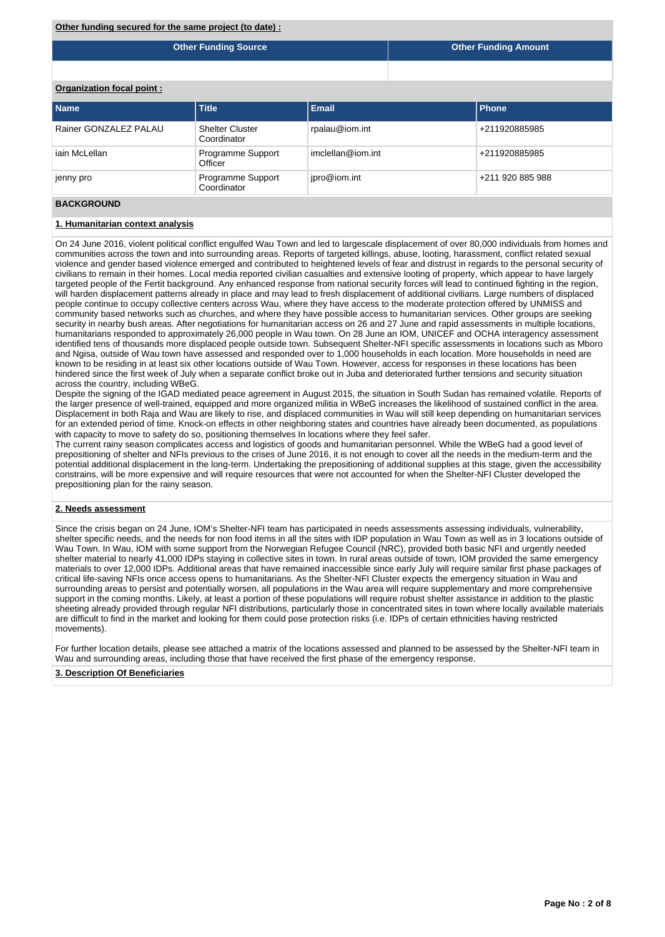**Other Funding Source Other Funding Amount**

**Organization focal point :**

| l Name                | <b>Title</b>                          | <b>Email</b>      | l Phone          |
|-----------------------|---------------------------------------|-------------------|------------------|
| Rainer GONZALEZ PALAU | <b>Shelter Cluster</b><br>Coordinator | rpalau@iom.int    | +211920885985    |
| iain McLellan         | Programme Support<br>Officer          | imclellan@iom.int | +211920885985    |
| jenny pro             | Programme Support<br>Coordinator      | jpro@iom.int      | +211 920 885 988 |

## **BACKGROUND**

#### **1. Humanitarian context analysis**

On 24 June 2016, violent political conflict engulfed Wau Town and led to largescale displacement of over 80,000 individuals from homes and communities across the town and into surrounding areas. Reports of targeted killings, abuse, looting, harassment, conflict related sexual violence and gender based violence emerged and contributed to heightened levels of fear and distrust in regards to the personal security of civilians to remain in their homes. Local media reported civilian casualties and extensive looting of property, which appear to have largely targeted people of the Fertit background. Any enhanced response from national security forces will lead to continued fighting in the region, will harden displacement patterns already in place and may lead to fresh displacement of additional civilians. Large numbers of displaced people continue to occupy collective centers across Wau, where they have access to the moderate protection offered by UNMISS and community based networks such as churches, and where they have possible access to humanitarian services. Other groups are seeking security in nearby bush areas. After negotiations for humanitarian access on 26 and 27 June and rapid assessments in multiple locations, humanitarians responded to approximately 26,000 people in Wau town. On 28 June an IOM, UNICEF and OCHA interagency assessment identified tens of thousands more displaced people outside town. Subsequent Shelter-NFI specific assessments in locations such as Mboro and Ngisa, outside of Wau town have assessed and responded over to 1,000 households in each location. More households in need are known to be residing in at least six other locations outside of Wau Town. However, access for responses in these locations has been hindered since the first week of July when a separate conflict broke out in Juba and deteriorated further tensions and security situation across the country, including WBeG.

Despite the signing of the IGAD mediated peace agreement in August 2015, the situation in South Sudan has remained volatile. Reports of the larger presence of well-trained, equipped and more organized militia in WBeG increases the likelihood of sustained conflict in the area. Displacement in both Raja and Wau are likely to rise, and displaced communities in Wau will still keep depending on humanitarian services for an extended period of time. Knock-on effects in other neighboring states and countries have already been documented, as populations with capacity to move to safety do so, positioning themselves In locations where they feel safer.

The current rainy season complicates access and logistics of goods and humanitarian personnel. While the WBeG had a good level of prepositioning of shelter and NFIs previous to the crises of June 2016, it is not enough to cover all the needs in the medium-term and the potential additional displacement in the long-term. Undertaking the prepositioning of additional supplies at this stage, given the accessibility constrains, will be more expensive and will require resources that were not accounted for when the Shelter-NFI Cluster developed the prepositioning plan for the rainy season.

#### **2. Needs assessment**

Since the crisis began on 24 June, IOM's Shelter-NFI team has participated in needs assessments assessing individuals, vulnerability, shelter specific needs, and the needs for non food items in all the sites with IDP population in Wau Town as well as in 3 locations outside of Wau Town. In Wau, IOM with some support from the Norwegian Refugee Council (NRC), provided both basic NFI and urgently needed shelter material to nearly 41,000 IDPs staying in collective sites in town. In rural areas outside of town, IOM provided the same emergency materials to over 12,000 IDPs. Additional areas that have remained inaccessible since early July will require similar first phase packages of critical life-saving NFIs once access opens to humanitarians. As the Shelter-NFI Cluster expects the emergency situation in Wau and surrounding areas to persist and potentially worsen, all populations in the Wau area will require supplementary and more comprehensive support in the coming months. Likely, at least a portion of these populations will require robust shelter assistance in addition to the plastic sheeting already provided through regular NFI distributions, particularly those in concentrated sites in town where locally available materials are difficult to find in the market and looking for them could pose protection risks (i.e. IDPs of certain ethnicities having restricted movements).

For further location details, please see attached a matrix of the locations assessed and planned to be assessed by the Shelter-NFI team in Wau and surrounding areas, including those that have received the first phase of the emergency response.

## **3. Description Of Beneficiaries**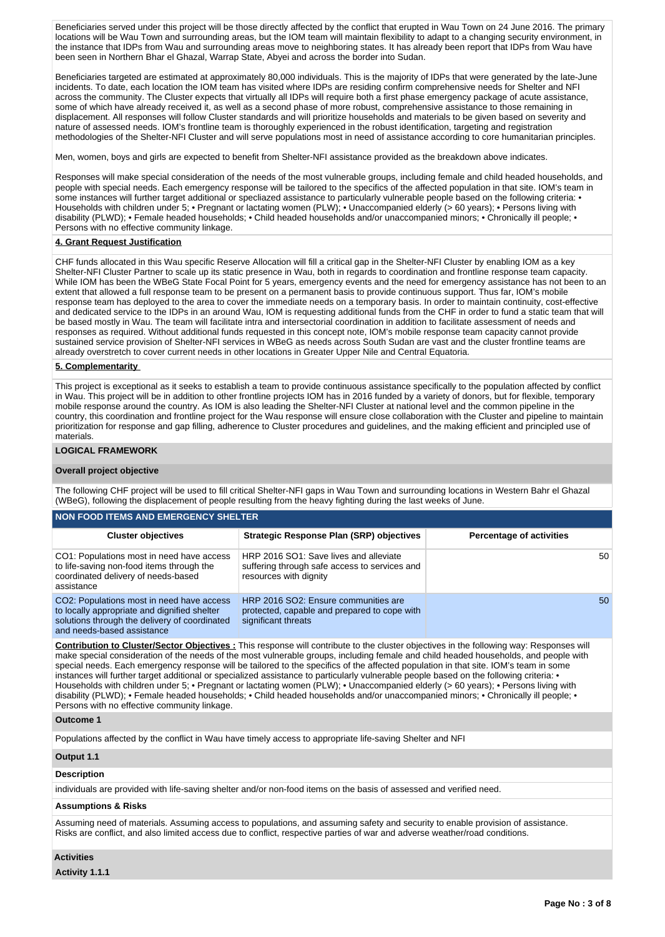Beneficiaries served under this project will be those directly affected by the conflict that erupted in Wau Town on 24 June 2016. The primary locations will be Wau Town and surrounding areas, but the IOM team will maintain flexibility to adapt to a changing security environment, in the instance that IDPs from Wau and surrounding areas move to neighboring states. It has already been report that IDPs from Wau have been seen in Northern Bhar el Ghazal, Warrap State, Abyei and across the border into Sudan.

Beneficiaries targeted are estimated at approximately 80,000 individuals. This is the majority of IDPs that were generated by the late-June incidents. To date, each location the IOM team has visited where IDPs are residing confirm comprehensive needs for Shelter and NFI across the community. The Cluster expects that virtually all IDPs will require both a first phase emergency package of acute assistance, some of which have already received it, as well as a second phase of more robust, comprehensive assistance to those remaining in displacement. All responses will follow Cluster standards and will prioritize households and materials to be given based on severity and nature of assessed needs. IOM's frontline team is thoroughly experienced in the robust identification, targeting and registration methodologies of the Shelter-NFI Cluster and will serve populations most in need of assistance according to core humanitarian principles.

Men, women, boys and girls are expected to benefit from Shelter-NFI assistance provided as the breakdown above indicates.

Responses will make special consideration of the needs of the most vulnerable groups, including female and child headed households, and people with special needs. Each emergency response will be tailored to the specifics of the affected population in that site. IOM's team in some instances will further target additional or specliazed assistance to particularly vulnerable people based on the following criteria: • Households with children under 5; • Pregnant or lactating women (PLW); • Unaccompanied elderly (> 60 years); • Persons living with disability (PLWD); • Female headed households; • Child headed households and/or unaccompanied minors; • Chronically ill people; • Persons with no effective community linkage.

## **4. Grant Request Justification**

CHF funds allocated in this Wau specific Reserve Allocation will fill a critical gap in the Shelter-NFI Cluster by enabling IOM as a key Shelter-NFI Cluster Partner to scale up its static presence in Wau, both in regards to coordination and frontline response team capacity. While IOM has been the WBeG State Focal Point for 5 years, emergency events and the need for emergency assistance has not been to an extent that allowed a full response team to be present on a permanent basis to provide continuous support. Thus far, IOM's mobile response team has deployed to the area to cover the immediate needs on a temporary basis. In order to maintain continuity, cost-effective and dedicated service to the IDPs in an around Wau, IOM is requesting additional funds from the CHF in order to fund a static team that will be based mostly in Wau. The team will facilitate intra and intersectorial coordination in addition to facilitate assessment of needs and responses as required. Without additional funds requested in this concept note, IOM's mobile response team capacity cannot provide sustained service provision of Shelter-NFI services in WBeG as needs across South Sudan are vast and the cluster frontline teams are already overstretch to cover current needs in other locations in Greater Upper Nile and Central Equatoria.

#### **5. Complementarity**

This project is exceptional as it seeks to establish a team to provide continuous assistance specifically to the population affected by conflict in Wau. This project will be in addition to other frontline projects IOM has in 2016 funded by a variety of donors, but for flexible, temporary mobile response around the country. As IOM is also leading the Shelter-NFI Cluster at national level and the common pipeline in the country, this coordination and frontline project for the Wau response will ensure close collaboration with the Cluster and pipeline to maintain prioritization for response and gap filling, adherence to Cluster procedures and guidelines, and the making efficient and principled use of materials.

### **LOGICAL FRAMEWORK**

#### **Overall project objective**

The following CHF project will be used to fill critical Shelter-NFI gaps in Wau Town and surrounding locations in Western Bahr el Ghazal (WBeG), following the displacement of people resulting from the heavy fighting during the last weeks of June.

| NON FOOD ITEMS AND EMERGENCY SHELTER I                                                                                                                                   |                                                                                                                   |                                 |  |  |  |  |  |  |  |  |
|--------------------------------------------------------------------------------------------------------------------------------------------------------------------------|-------------------------------------------------------------------------------------------------------------------|---------------------------------|--|--|--|--|--|--|--|--|
| <b>Cluster objectives</b>                                                                                                                                                | <b>Strategic Response Plan (SRP) objectives</b>                                                                   | <b>Percentage of activities</b> |  |  |  |  |  |  |  |  |
| CO1: Populations most in need have access<br>to life-saving non-food items through the<br>coordinated delivery of needs-based<br>assistance                              | HRP 2016 SO1: Save lives and alleviate<br>suffering through safe access to services and<br>resources with dignity | 50                              |  |  |  |  |  |  |  |  |
| CO2: Populations most in need have access<br>to locally appropriate and dignified shelter<br>solutions through the delivery of coordinated<br>and needs-based assistance | HRP 2016 SO2: Ensure communities are<br>protected, capable and prepared to cope with<br>significant threats       | 50                              |  |  |  |  |  |  |  |  |

**Contribution to Cluster/Sector Objectives :** This response will contribute to the cluster objectives in the following way: Responses will make special consideration of the needs of the most vulnerable groups, including female and child headed households, and people with special needs. Each emergency response will be tailored to the specifics of the affected population in that site. IOM's team in some instances will further target additional or specialized assistance to particularly vulnerable people based on the following criteria: • Households with children under 5; • Pregnant or lactating women (PLW); • Unaccompanied elderly (> 60 years); • Persons living with disability (PLWD); • Female headed households; • Child headed households and/or unaccompanied minors; • Chronically ill people; • Persons with no effective community linkage.

#### **Outcome 1**

Populations affected by the conflict in Wau have timely access to appropriate life-saving Shelter and NFI

# **Output 1.1**

## **Description**

individuals are provided with life-saving shelter and/or non-food items on the basis of assessed and verified need.

# **Assumptions & Risks**

Assuming need of materials. Assuming access to populations, and assuming safety and security to enable provision of assistance. Risks are conflict, and also limited access due to conflict, respective parties of war and adverse weather/road conditions.

#### **Activities**

**Activity 1.1.1**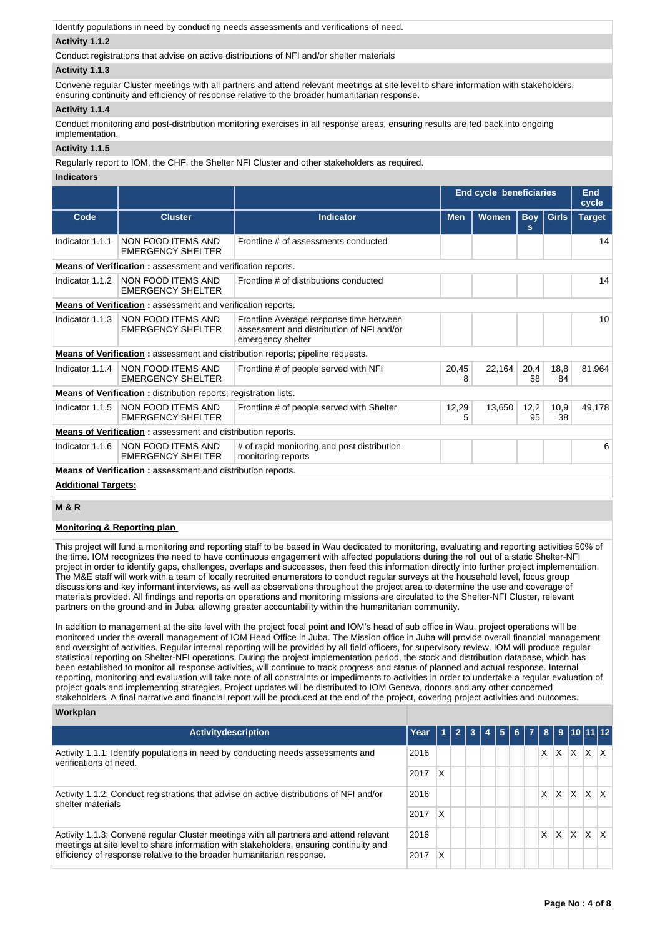Identify populations in need by conducting needs assessments and verifications of need.

## **Activity 1.1.2**

Conduct registrations that advise on active distributions of NFI and/or shelter materials

#### **Activity 1.1.3**

Convene regular Cluster meetings with all partners and attend relevant meetings at site level to share information with stakeholders, ensuring continuity and efficiency of response relative to the broader humanitarian response.

## **Activity 1.1.4**

Conduct monitoring and post-distribution monitoring exercises in all response areas, ensuring results are fed back into ongoing implementation.

## **Activity 1.1.5**

Regularly report to IOM, the CHF, the Shelter NFI Cluster and other stakeholders as required.

## **Indicators**

|                                                                    |                                                                         |                                                                                                           | <b>End cycle beneficiaries</b> |        |            |            |        |  |  |
|--------------------------------------------------------------------|-------------------------------------------------------------------------|-----------------------------------------------------------------------------------------------------------|--------------------------------|--------|------------|------------|--------|--|--|
| Code                                                               | <b>Cluster</b>                                                          | <b>Indicator</b>                                                                                          | <b>Men</b><br><b>Women</b>     |        |            |            |        |  |  |
| Indicator 1.1.1                                                    | NON FOOD ITEMS AND<br><b>EMERGENCY SHELTER</b>                          | Frontline # of assessments conducted                                                                      |                                |        |            |            | 14     |  |  |
| <b>Means of Verification:</b> assessment and verification reports. |                                                                         |                                                                                                           |                                |        |            |            |        |  |  |
| Indicator 1.1.2                                                    | NON FOOD ITEMS AND<br><b>EMERGENCY SHELTER</b>                          | Frontline # of distributions conducted                                                                    |                                |        |            |            |        |  |  |
|                                                                    | <b>Means of Verification:</b> assessment and verification reports.      |                                                                                                           |                                |        |            |            |        |  |  |
| Indicator 1.1.3                                                    | NON FOOD ITEMS AND<br><b>EMERGENCY SHELTER</b>                          | Frontline Average response time between<br>assessment and distribution of NFI and/or<br>emergency shelter |                                |        |            |            |        |  |  |
|                                                                    |                                                                         | <b>Means of Verification:</b> assessment and distribution reports; pipeline requests.                     |                                |        |            |            |        |  |  |
| Indicator 1.1.4                                                    | NON FOOD ITEMS AND<br><b>EMERGENCY SHELTER</b>                          | Frontline # of people served with NFI                                                                     | 20,45<br>8                     | 22,164 | 20,4<br>58 | 18,8<br>84 | 81,964 |  |  |
|                                                                    | <b>Means of Verification:</b> distribution reports; registration lists. |                                                                                                           |                                |        |            |            |        |  |  |
| Indicator 1.1.5                                                    | NON FOOD ITEMS AND<br><b>EMERGENCY SHELTER</b>                          | Frontline # of people served with Shelter                                                                 | 12,29<br>5                     | 13.650 | 12,2<br>95 | 10,9<br>38 | 49.178 |  |  |
|                                                                    | <b>Means of Verification:</b> assessment and distribution reports.      |                                                                                                           |                                |        |            |            |        |  |  |
| Indicator 1.1.6                                                    | NON FOOD ITEMS AND<br><b>EMERGENCY SHELTER</b>                          | # of rapid monitoring and post distribution<br>monitoring reports                                         |                                |        |            |            |        |  |  |
|                                                                    | <b>Means of Verification:</b> assessment and distribution reports.      |                                                                                                           |                                |        |            |            |        |  |  |
| <b>Additional Targets:</b>                                         |                                                                         |                                                                                                           |                                |        |            |            |        |  |  |

# **M & R**

## **Monitoring & Reporting plan**

This project will fund a monitoring and reporting staff to be based in Wau dedicated to monitoring, evaluating and reporting activities 50% of the time. IOM recognizes the need to have continuous engagement with affected populations during the roll out of a static Shelter-NFI project in order to identify gaps, challenges, overlaps and successes, then feed this information directly into further project implementation. The M&E staff will work with a team of locally recruited enumerators to conduct regular surveys at the household level, focus group discussions and key informant interviews, as well as observations throughout the project area to determine the use and coverage of materials provided. All findings and reports on operations and monitoring missions are circulated to the Shelter-NFI Cluster, relevant partners on the ground and in Juba, allowing greater accountability within the humanitarian community.

In addition to management at the site level with the project focal point and IOM's head of sub office in Wau, project operations will be monitored under the overall management of IOM Head Office in Juba. The Mission office in Juba will provide overall financial management and oversight of activities. Regular internal reporting will be provided by all field officers, for supervisory review. IOM will produce regular statistical reporting on Shelter-NFI operations. During the project implementation period, the stock and distribution database, which has been established to monitor all response activities, will continue to track progress and status of planned and actual response. Internal reporting, monitoring and evaluation will take note of all constraints or impediments to activities in order to undertake a regular evaluation of project goals and implementing strategies. Project updates will be distributed to IOM Geneva, donors and any other concerned stakeholders. A final narrative and financial report will be produced at the end of the project, covering project activities and outcomes.

#### **Workplan**

| Activitydescription                                                                                                                                                                                                                                                       | Year |   | 2 3 4 5 6 7 8 9 10 11 12 |  |  |   |          |              |                         |                         |
|---------------------------------------------------------------------------------------------------------------------------------------------------------------------------------------------------------------------------------------------------------------------------|------|---|--------------------------|--|--|---|----------|--------------|-------------------------|-------------------------|
| Activity 1.1.1: Identify populations in need by conducting needs assessments and<br>2016<br>verifications of need.<br>2017                                                                                                                                                |      |   |                          |  |  |   |          |              | $X$ $X$ $X$ $X$ $X$     |                         |
|                                                                                                                                                                                                                                                                           |      | x |                          |  |  |   |          |              |                         |                         |
| Activity 1.1.2: Conduct registrations that advise on active distributions of NFI and/or<br>2016<br>shelter materials<br>2017                                                                                                                                              |      |   |                          |  |  | X | $\times$ | $\mathsf{X}$ | $\mathsf{X} \mathsf{X}$ |                         |
|                                                                                                                                                                                                                                                                           |      | x |                          |  |  |   |          |              |                         |                         |
| Activity 1.1.3: Convene regular Cluster meetings with all partners and attend relevant<br>2016<br>meetings at site level to share information with stakeholders, ensuring continuity and<br>efficiency of response relative to the broader humanitarian response.<br>2017 |      |   |                          |  |  | X | x        | X            | ΙX.                     | $\mathsf{I} \mathsf{X}$ |
|                                                                                                                                                                                                                                                                           |      | x |                          |  |  |   |          |              |                         |                         |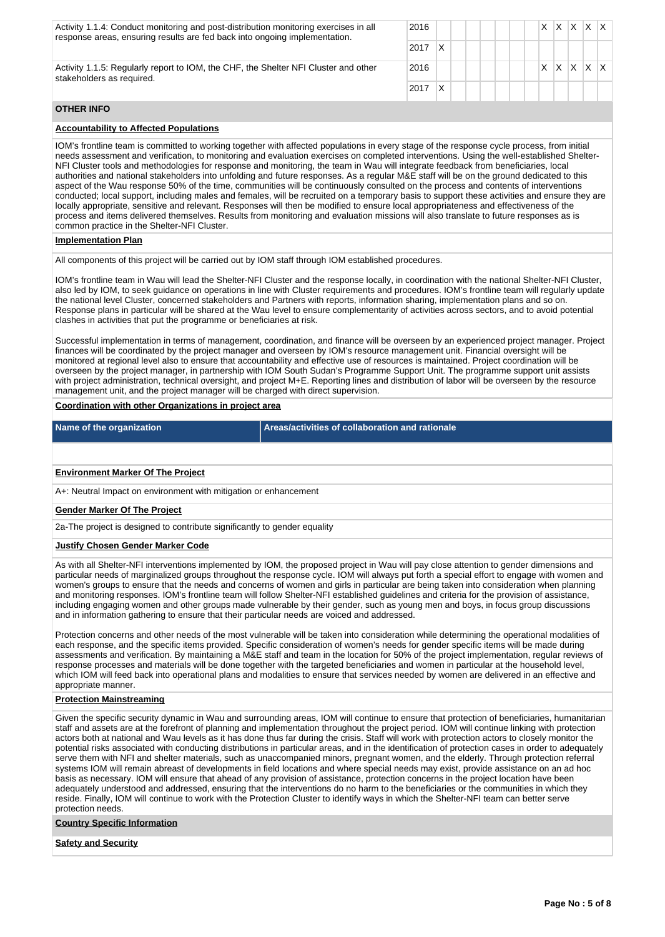| Activity 1.1.4: Conduct monitoring and post-distribution monitoring exercises in all<br>response areas, ensuring results are fed back into ongoing implementation. | 2016 |   |  |  |  | X | X | X | $X$ $X$ |  |
|--------------------------------------------------------------------------------------------------------------------------------------------------------------------|------|---|--|--|--|---|---|---|---------|--|
|                                                                                                                                                                    | 2017 | x |  |  |  |   |   |   |         |  |
| Activity 1.1.5: Regularly report to IOM, the CHF, the Shelter NFI Cluster and other<br>stakeholders as required.                                                   | 2016 |   |  |  |  | X | X | x | $X$ $X$ |  |
|                                                                                                                                                                    | 2017 | x |  |  |  |   |   |   |         |  |
| <b>OTHER INFO</b>                                                                                                                                                  |      |   |  |  |  |   |   |   |         |  |
| <b>Accountability to Affected Populations</b>                                                                                                                      |      |   |  |  |  |   |   |   |         |  |
|                                                                                                                                                                    |      |   |  |  |  |   |   |   |         |  |

IOM's frontline team is committed to working together with affected populations in every stage of the response cycle process, from initial needs assessment and verification, to monitoring and evaluation exercises on completed interventions. Using the well-established Shelter-NFI Cluster tools and methodologies for response and monitoring, the team in Wau will integrate feedback from beneficiaries, local authorities and national stakeholders into unfolding and future responses. As a regular M&E staff will be on the ground dedicated to this aspect of the Wau response 50% of the time, communities will be continuously consulted on the process and contents of interventions conducted; local support, including males and females, will be recruited on a temporary basis to support these activities and ensure they are locally appropriate, sensitive and relevant. Responses will then be modified to ensure local appropriateness and effectiveness of the process and items delivered themselves. Results from monitoring and evaluation missions will also translate to future responses as is common practice in the Shelter-NFI Cluster.

#### **Implementation Plan**

All components of this project will be carried out by IOM staff through IOM established procedures.

IOM's frontline team in Wau will lead the Shelter-NFI Cluster and the response locally, in coordination with the national Shelter-NFI Cluster, also led by IOM, to seek guidance on operations in line with Cluster requirements and procedures. IOM's frontline team will regularly update the national level Cluster, concerned stakeholders and Partners with reports, information sharing, implementation plans and so on. Response plans in particular will be shared at the Wau level to ensure complementarity of activities across sectors, and to avoid potential clashes in activities that put the programme or beneficiaries at risk.

Successful implementation in terms of management, coordination, and finance will be overseen by an experienced project manager. Project finances will be coordinated by the project manager and overseen by IOM's resource management unit. Financial oversight will be monitored at regional level also to ensure that accountability and effective use of resources is maintained. Project coordination will be overseen by the project manager, in partnership with IOM South Sudan's Programme Support Unit. The programme support unit assists with project administration, technical oversight, and project M+E. Reporting lines and distribution of labor will be overseen by the resource management unit, and the project manager will be charged with direct supervision.

### **Coordination with other Organizations in project area**

**Name of the organization Areas/activities of collaboration and rationale**

### **Environment Marker Of The Project**

A+: Neutral Impact on environment with mitigation or enhancement

#### **Gender Marker Of The Project**

2a-The project is designed to contribute significantly to gender equality

#### **Justify Chosen Gender Marker Code**

As with all Shelter-NFI interventions implemented by IOM, the proposed project in Wau will pay close attention to gender dimensions and particular needs of marginalized groups throughout the response cycle. IOM will always put forth a special effort to engage with women and women's groups to ensure that the needs and concerns of women and girls in particular are being taken into consideration when planning and monitoring responses. IOM's frontline team will follow Shelter-NFI established guidelines and criteria for the provision of assistance, including engaging women and other groups made vulnerable by their gender, such as young men and boys, in focus group discussions and in information gathering to ensure that their particular needs are voiced and addressed.

Protection concerns and other needs of the most vulnerable will be taken into consideration while determining the operational modalities of each response, and the specific items provided. Specific consideration of women's needs for gender specific items will be made during assessments and verification. By maintaining a M&E staff and team in the location for 50% of the project implementation, regular reviews of response processes and materials will be done together with the targeted beneficiaries and women in particular at the household level, which IOM will feed back into operational plans and modalities to ensure that services needed by women are delivered in an effective and appropriate manner.

#### **Protection Mainstreaming**

Given the specific security dynamic in Wau and surrounding areas, IOM will continue to ensure that protection of beneficiaries, humanitarian staff and assets are at the forefront of planning and implementation throughout the project period. IOM will continue linking with protection actors both at national and Wau levels as it has done thus far during the crisis. Staff will work with protection actors to closely monitor the potential risks associated with conducting distributions in particular areas, and in the identification of protection cases in order to adequately serve them with NFI and shelter materials, such as unaccompanied minors, pregnant women, and the elderly. Through protection referral systems IOM will remain abreast of developments in field locations and where special needs may exist, provide assistance on an ad hoc basis as necessary. IOM will ensure that ahead of any provision of assistance, protection concerns in the project location have been adequately understood and addressed, ensuring that the interventions do no harm to the beneficiaries or the communities in which they reside. Finally, IOM will continue to work with the Protection Cluster to identify ways in which the Shelter-NFI team can better serve protection needs.

## **Country Specific Information**

**Safety and Security**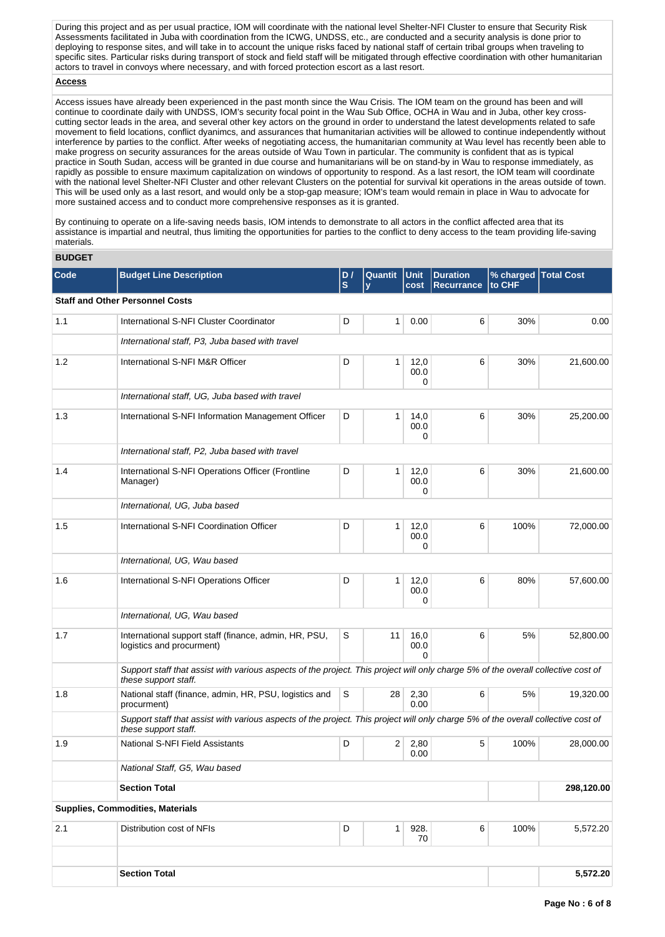During this project and as per usual practice, IOM will coordinate with the national level Shelter-NFI Cluster to ensure that Security Risk Assessments facilitated in Juba with coordination from the ICWG, UNDSS, etc., are conducted and a security analysis is done prior to deploying to response sites, and will take in to account the unique risks faced by national staff of certain tribal groups when traveling to specific sites. Particular risks during transport of stock and field staff will be mitigated through effective coordination with other humanitarian actors to travel in convoys where necessary, and with forced protection escort as a last resort.

## **Access**

Access issues have already been experienced in the past month since the Wau Crisis. The IOM team on the ground has been and will continue to coordinate daily with UNDSS, IOM's security focal point in the Wau Sub Office, OCHA in Wau and in Juba, other key crosscutting sector leads in the area, and several other key actors on the ground in order to understand the latest developments related to safe movement to field locations, conflict dyanimcs, and assurances that humanitarian activities will be allowed to continue independently without interference by parties to the conflict. After weeks of negotiating access, the humanitarian community at Wau level has recently been able to make progress on security assurances for the areas outside of Wau Town in particular. The community is confident that as is typical practice in South Sudan, access will be granted in due course and humanitarians will be on stand-by in Wau to response immediately, as rapidly as possible to ensure maximum capitalization on windows of opportunity to respond. As a last resort, the IOM team will coordinate with the national level Shelter-NFI Cluster and other relevant Clusters on the potential for survival kit operations in the areas outside of town. This will be used only as a last resort, and would only be a stop-gap measure; IOM's team would remain in place in Wau to advocate for more sustained access and to conduct more comprehensive responses as it is granted.

By continuing to operate on a life-saving needs basis, IOM intends to demonstrate to all actors in the conflict affected area that its assistance is impartial and neutral, thus limiting the opportunities for parties to the conflict to deny access to the team providing life-saving materials.

# **BUDGET**

| Code | <b>Budget Line Description</b>                                                                                                                            | D/<br>Quantit<br>Unit<br>$\mathbf{s}$<br>cost<br>$\mathbf v$ |                | <b>Duration</b><br><b>Recurrance</b> | % charged   Total Cost<br>to CHF |      |            |
|------|-----------------------------------------------------------------------------------------------------------------------------------------------------------|--------------------------------------------------------------|----------------|--------------------------------------|----------------------------------|------|------------|
|      | <b>Staff and Other Personnel Costs</b>                                                                                                                    |                                                              |                |                                      |                                  |      |            |
| 1.1  | International S-NFI Cluster Coordinator                                                                                                                   | D                                                            | $\mathbf{1}$   | 0.00                                 | 6                                | 30%  | 0.00       |
|      | International staff, P3, Juba based with travel                                                                                                           |                                                              |                |                                      |                                  |      |            |
| 1.2  | International S-NFI M&R Officer                                                                                                                           | D                                                            | 1              | 12,0<br>00.0<br>0                    | 6                                | 30%  | 21,600.00  |
|      | International staff, UG, Juba based with travel                                                                                                           |                                                              |                |                                      |                                  |      |            |
| 1.3  | International S-NFI Information Management Officer                                                                                                        | D                                                            | 1              | 14,0<br>00.0<br>0                    | 6                                | 30%  | 25,200.00  |
|      | International staff, P2, Juba based with travel                                                                                                           |                                                              |                |                                      |                                  |      |            |
| 1.4  | International S-NFI Operations Officer (Frontline<br>Manager)                                                                                             | D                                                            | 1              | 12,0<br>00.0<br>0                    | 6                                | 30%  | 21,600.00  |
|      | International, UG, Juba based                                                                                                                             |                                                              |                |                                      |                                  |      |            |
| 1.5  | International S-NFI Coordination Officer                                                                                                                  | D                                                            | 1              | 12,0<br>00.0<br>0                    | 6                                | 100% | 72,000.00  |
|      | International, UG, Wau based                                                                                                                              |                                                              |                |                                      |                                  |      |            |
| 1.6  | International S-NFI Operations Officer                                                                                                                    | D                                                            | 1              | 12,0<br>00.0<br>0                    | 6                                | 80%  | 57,600.00  |
|      | International, UG, Wau based                                                                                                                              |                                                              |                |                                      |                                  |      |            |
| 1.7  | International support staff (finance, admin, HR, PSU,<br>logistics and procurment)                                                                        | S                                                            | 11             | 16,0<br>00.0<br>$\Omega$             | 6                                | 5%   | 52,800.00  |
|      | Support staff that assist with various aspects of the project. This project will only charge 5% of the overall collective cost of<br>these support staff. |                                                              |                |                                      |                                  |      |            |
| 1.8  | National staff (finance, admin, HR, PSU, logistics and<br>procurment)                                                                                     | S                                                            | 28             | 2,30<br>0.00                         | 6                                | 5%   | 19,320.00  |
|      | Support staff that assist with various aspects of the project. This project will only charge 5% of the overall collective cost of<br>these support staff. |                                                              |                |                                      |                                  |      |            |
| 1.9  | National S-NFI Field Assistants                                                                                                                           | D                                                            | 2 <sup>2</sup> | 2,80<br>0.00                         | 5                                | 100% | 28,000.00  |
|      | National Staff, G5, Wau based                                                                                                                             |                                                              |                |                                      |                                  |      |            |
|      | <b>Section Total</b>                                                                                                                                      |                                                              |                |                                      |                                  |      | 298,120.00 |
|      | Supplies, Commodities, Materials                                                                                                                          |                                                              |                |                                      |                                  |      |            |
| 2.1  | Distribution cost of NFIs                                                                                                                                 | D                                                            | 1              | 928.<br>70                           | 6                                | 100% | 5,572.20   |
|      |                                                                                                                                                           |                                                              |                |                                      |                                  |      |            |
|      | <b>Section Total</b>                                                                                                                                      |                                                              |                |                                      |                                  |      | 5,572.20   |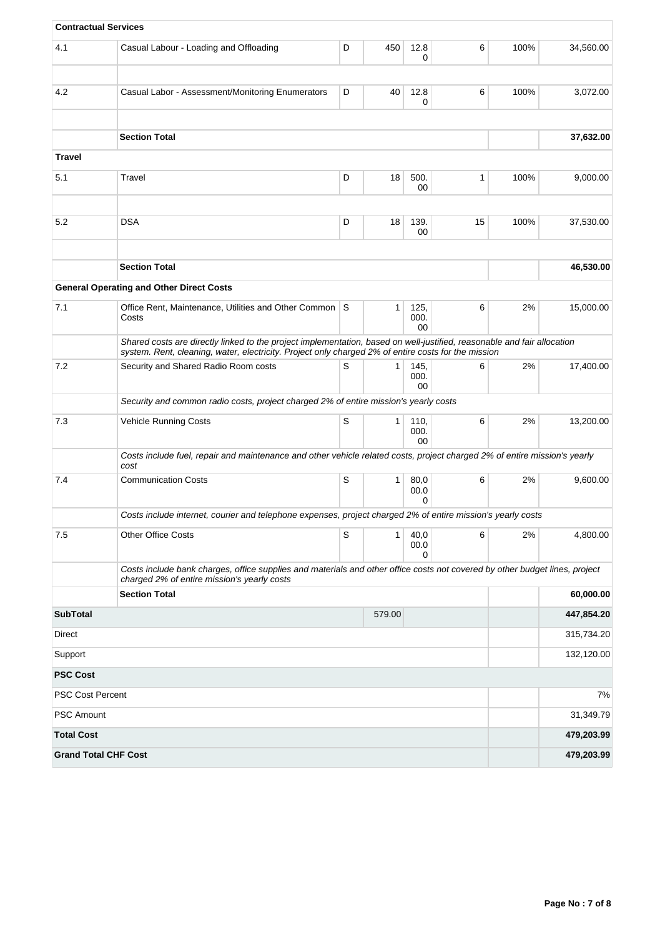| <b>Contractual Services</b> |                                                                                                                                                                                                                                |   |        |                    |    |      |            |
|-----------------------------|--------------------------------------------------------------------------------------------------------------------------------------------------------------------------------------------------------------------------------|---|--------|--------------------|----|------|------------|
| 4.1                         | Casual Labour - Loading and Offloading                                                                                                                                                                                         | D | 450    | 12.8<br>0          | 6  | 100% | 34,560.00  |
| 4.2                         | Casual Labor - Assessment/Monitoring Enumerators                                                                                                                                                                               | D | 40     | 12.8<br>0          | 6  | 100% | 3,072.00   |
|                             | <b>Section Total</b>                                                                                                                                                                                                           |   |        |                    |    |      | 37,632.00  |
| <b>Travel</b>               |                                                                                                                                                                                                                                |   |        |                    |    |      |            |
| 5.1                         | Travel                                                                                                                                                                                                                         | D | 18     | 500.<br>00         | 1  | 100% | 9,000.00   |
| 5.2                         | <b>DSA</b>                                                                                                                                                                                                                     | D | 18     | 139.<br>$00\,$     | 15 | 100% | 37,530.00  |
|                             | <b>Section Total</b>                                                                                                                                                                                                           |   |        |                    |    |      | 46,530.00  |
|                             | <b>General Operating and Other Direct Costs</b>                                                                                                                                                                                |   |        |                    |    |      |            |
| 7.1                         | Office Rent, Maintenance, Utilities and Other Common S<br>Costs                                                                                                                                                                |   | 1      | 125,<br>000.<br>00 | 6  | 2%   | 15,000.00  |
|                             | Shared costs are directly linked to the project implementation, based on well-justified, reasonable and fair allocation<br>system. Rent, cleaning, water, electricity. Project only charged 2% of entire costs for the mission |   |        |                    |    |      |            |
| 7.2                         | Security and Shared Radio Room costs                                                                                                                                                                                           | S | 1      | 145,<br>000.<br>00 | 6  | 2%   | 17,400.00  |
|                             | Security and common radio costs, project charged 2% of entire mission's yearly costs                                                                                                                                           |   |        |                    |    |      |            |
| 7.3                         | Vehicle Running Costs                                                                                                                                                                                                          | S | 1      | 110,<br>000.<br>00 | 6  | 2%   | 13,200.00  |
|                             | Costs include fuel, repair and maintenance and other vehicle related costs, project charged 2% of entire mission's yearly<br>cost                                                                                              |   |        |                    |    |      |            |
| 7.4                         | <b>Communication Costs</b>                                                                                                                                                                                                     | S | 1      | 80,0<br>00.0<br>0  | 6  | 2%   | 9,600.00   |
|                             | Costs include internet, courier and telephone expenses, project charged 2% of entire mission's yearly costs                                                                                                                    |   |        |                    |    |      |            |
| 7.5                         | <b>Other Office Costs</b>                                                                                                                                                                                                      | S | 1      | 40,0<br>00.0<br>0  | 6  | 2%   | 4,800.00   |
|                             | Costs include bank charges, office supplies and materials and other office costs not covered by other budget lines, project<br>charged 2% of entire mission's yearly costs                                                     |   |        |                    |    |      |            |
|                             | <b>Section Total</b>                                                                                                                                                                                                           |   |        |                    |    |      | 60,000.00  |
| <b>SubTotal</b>             |                                                                                                                                                                                                                                |   | 579.00 |                    |    |      | 447,854.20 |
| Direct                      |                                                                                                                                                                                                                                |   |        |                    |    |      | 315,734.20 |
| Support                     |                                                                                                                                                                                                                                |   |        |                    |    |      | 132,120.00 |
| <b>PSC Cost</b>             |                                                                                                                                                                                                                                |   |        |                    |    |      |            |
| <b>PSC Cost Percent</b>     |                                                                                                                                                                                                                                |   |        |                    |    |      | 7%         |
| <b>PSC Amount</b>           |                                                                                                                                                                                                                                |   |        |                    |    |      | 31,349.79  |
| <b>Total Cost</b>           |                                                                                                                                                                                                                                |   |        |                    |    |      | 479,203.99 |
| <b>Grand Total CHF Cost</b> |                                                                                                                                                                                                                                |   |        |                    |    |      | 479,203.99 |